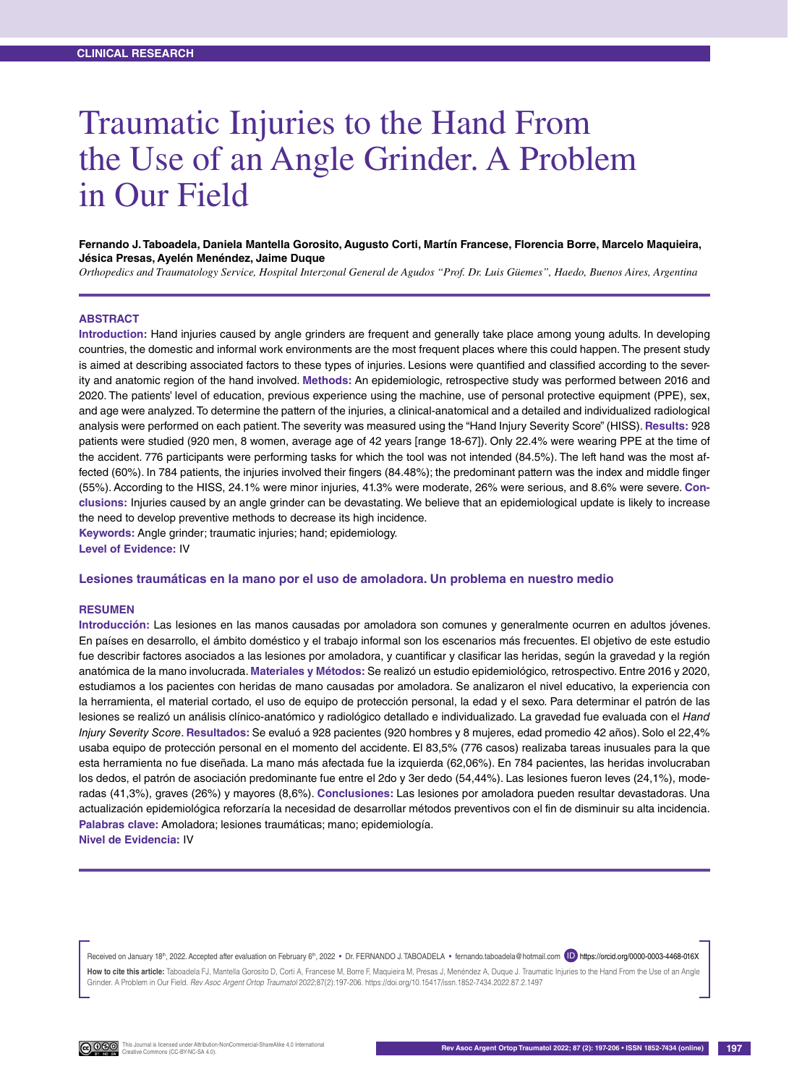# Traumatic Injuries to the Hand From the Use of an Angle Grinder. A Problem in Our Field

### **Fernando J. Taboadela, Daniela Mantella Gorosito, Augusto Corti, Martín Francese, Florencia Borre, Marcelo Maquieira, Jésica Presas, Ayelén Menéndez, Jaime Duque**

*Orthopedics and Traumatology Service, Hospital Interzonal General de Agudos "Prof. Dr. Luis Güemes", Haedo, Buenos Aires, Argentina*

## **ABSTRACT**

**Introduction:** Hand injuries caused by angle grinders are frequent and generally take place among young adults. In developing countries, the domestic and informal work environments are the most frequent places where this could happen. The present study is aimed at describing associated factors to these types of injuries. Lesions were quantified and classified according to the severity and anatomic region of the hand involved. **Methods:** An epidemiologic, retrospective study was performed between 2016 and 2020. The patients' level of education, previous experience using the machine, use of personal protective equipment (PPE), sex, and age were analyzed. To determine the pattern of the injuries, a clinical-anatomical and a detailed and individualized radiological analysis were performed on each patient. The severity was measured using the "Hand Injury Severity Score" (HISS). **Results:** 928 patients were studied (920 men, 8 women, average age of 42 years [range 18-67]). Only 22.4% were wearing PPE at the time of the accident. 776 participants were performing tasks for which the tool was not intended (84.5%). The left hand was the most affected (60%). In 784 patients, the injuries involved their fingers (84.48%); the predominant pattern was the index and middle finger (55%). According to the HISS, 24.1% were minor injuries, 41.3% were moderate, 26% were serious, and 8.6% were severe. **Conclusions:** Injuries caused by an angle grinder can be devastating. We believe that an epidemiological update is likely to increase the need to develop preventive methods to decrease its high incidence.

**Keywords:** Angle grinder; traumatic injuries; hand; epidemiology.

**Level of Evidence:** IV

#### **Lesiones traumáticas en la mano por el uso de amoladora. Un problema en nuestro medio**

#### **RESUMEN**

**Introducción:** Las lesiones en las manos causadas por amoladora son comunes y generalmente ocurren en adultos jóvenes. En países en desarrollo, el ámbito doméstico y el trabajo informal son los escenarios más frecuentes. El objetivo de este estudio fue describir factores asociados a las lesiones por amoladora, y cuantificar y clasificar las heridas, según la gravedad y la región anatómica de la mano involucrada. **Materiales y Métodos:** Se realizó un estudio epidemiológico, retrospectivo. Entre 2016 y 2020, estudiamos a los pacientes con heridas de mano causadas por amoladora. Se analizaron el nivel educativo, la experiencia con la herramienta, el material cortado, el uso de equipo de protección personal, la edad y el sexo. Para determinar el patrón de las lesiones se realizó un análisis clínico-anatómico y radiológico detallado e individualizado. La gravedad fue evaluada con el *Hand Injury Severity Score*. **Resultados:** Se evaluó a 928 pacientes (920 hombres y 8 mujeres, edad promedio 42 años). Solo el 22,4% usaba equipo de protección personal en el momento del accidente. El 83,5% (776 casos) realizaba tareas inusuales para la que esta herramienta no fue diseñada. La mano más afectada fue la izquierda (62,06%). En 784 pacientes, las heridas involucraban los dedos, el patrón de asociación predominante fue entre el 2do y 3er dedo (54,44%). Las lesiones fueron leves (24,1%), moderadas (41,3%), graves (26%) y mayores (8,6%). **Conclusiones:** Las lesiones por amoladora pueden resultar devastadoras. Una actualización epidemiológica reforzaría la necesidad de desarrollar métodos preventivos con el fin de disminuir su alta incidencia. **Palabras clave:** Amoladora; lesiones traumáticas; mano; epidemiología. **Nivel de Evidencia:** IV

Received on January 18th, 2022. Accepted after evaluation on February 6th, 2022 • Dr. FERNANDO J. TABOADELA • fernando.taboadela@hotmail.com (ID) https://orcid.org/0000-0003-4468-016X How to cite this article: Taboadela FJ, Mantella Gorosito D, Corti A, Francese M, Borre F, Maquieira M, Presas J, Menéndez A, Duque J, Traumatic Injuries to the Hand From the Use of an Angle Grinder. A Problem in Our Field. *Rev Asoc Argent Ortop Traumatol* 2022;87(2):197-206. https://doi.org/10.15417/issn.1852-7434.2022.87.2.1497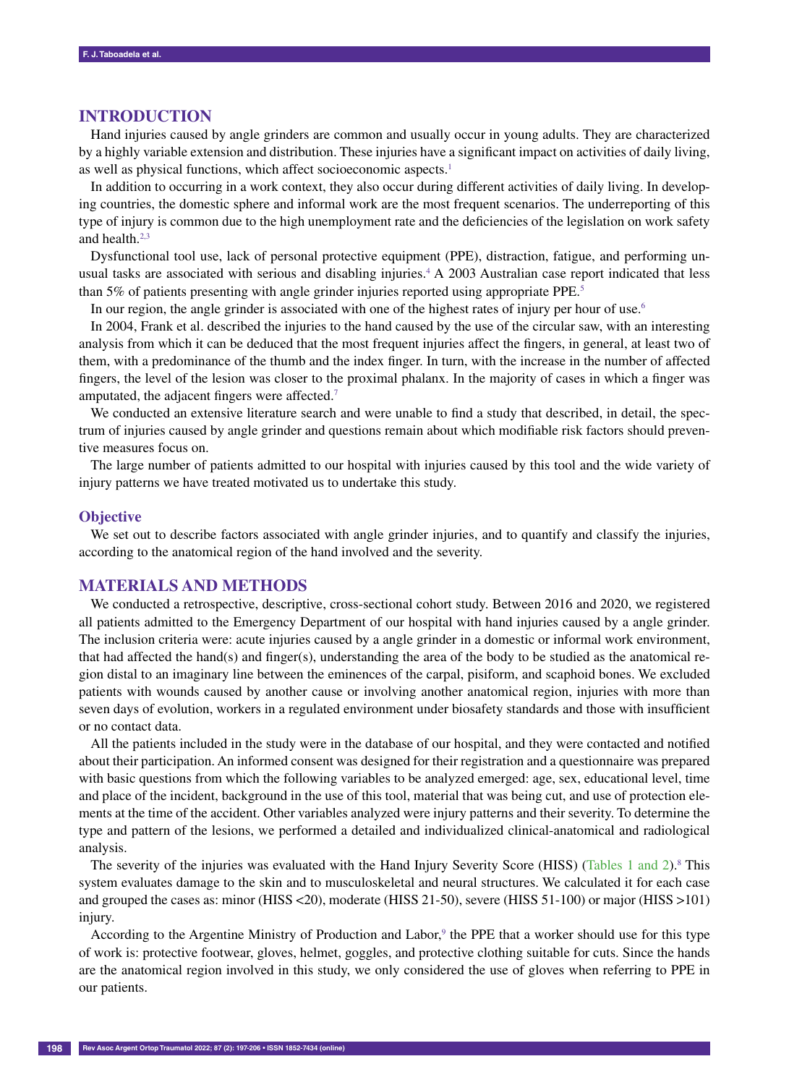# **INTRODUCTION**

Hand injuries caused by angle grinders are common and usually occur in young adults. They are characterized by a highly variable extension and distribution. These injuries have a significant impact on activities of daily living, as well as physical functions, which affect socioeconomic aspects.<sup>1</sup>

In addition to occurring in a work context, they also occur during different activities of daily living. In developing countries, the domestic sphere and informal work are the most frequent scenarios. The underreporting of this type of injury is common due to the high unemployment rate and the deficiencies of the legislation on work safety and health. $2,3$ 

Dysfunctional tool use, lack of personal protective equipment (PPE), distraction, fatigue, and performing unusual tasks are associated with serious and disabling injuries.<sup>4</sup> A 2003 Australian case report indicated that less than 5% of patients presenting with angle grinder injuries reported using appropriate PPE.<sup>5</sup>

In our region, the angle grinder is associated with one of the highest rates of injury per hour of use.<sup>6</sup>

In 2004, Frank et al. described the injuries to the hand caused by the use of the circular saw, with an interesting analysis from which it can be deduced that the most frequent injuries affect the fingers, in general, at least two of them, with a predominance of the thumb and the index finger. In turn, with the increase in the number of affected fingers, the level of the lesion was closer to the proximal phalanx. In the majority of cases in which a finger was amputated, the adjacent fingers were affected.7

We conducted an extensive literature search and were unable to find a study that described, in detail, the spectrum of injuries caused by angle grinder and questions remain about which modifiable risk factors should preventive measures focus on.

The large number of patients admitted to our hospital with injuries caused by this tool and the wide variety of injury patterns we have treated motivated us to undertake this study.

#### **Objective**

We set out to describe factors associated with angle grinder injuries, and to quantify and classify the injuries, according to the anatomical region of the hand involved and the severity.

# **MATERIALS AND METHODS**

We conducted a retrospective, descriptive, cross-sectional cohort study. Between 2016 and 2020, we registered all patients admitted to the Emergency Department of our hospital with hand injuries caused by a angle grinder. The inclusion criteria were: acute injuries caused by a angle grinder in a domestic or informal work environment, that had affected the hand(s) and finger(s), understanding the area of the body to be studied as the anatomical region distal to an imaginary line between the eminences of the carpal, pisiform, and scaphoid bones. We excluded patients with wounds caused by another cause or involving another anatomical region, injuries with more than seven days of evolution, workers in a regulated environment under biosafety standards and those with insufficient or no contact data.

All the patients included in the study were in the database of our hospital, and they were contacted and notified about their participation. An informed consent was designed for their registration and a questionnaire was prepared with basic questions from which the following variables to be analyzed emerged: age, sex, educational level, time and place of the incident, background in the use of this tool, material that was being cut, and use of protection elements at the time of the accident. Other variables analyzed were injury patterns and their severity. To determine the type and pattern of the lesions, we performed a detailed and individualized clinical-anatomical and radiological analysis.

The severity of the injuries was evaluated with the Hand Injury Severity Score (HISS) (Tables 1 and 2).<sup>8</sup> This system evaluates damage to the skin and to musculoskeletal and neural structures. We calculated it for each case and grouped the cases as: minor (HISS <20), moderate (HISS 21-50), severe (HISS 51-100) or major (HISS >101) injury.

According to the Argentine Ministry of Production and Labor,<sup>9</sup> the PPE that a worker should use for this type of work is: protective footwear, gloves, helmet, goggles, and protective clothing suitable for cuts. Since the hands are the anatomical region involved in this study, we only considered the use of gloves when referring to PPE in our patients.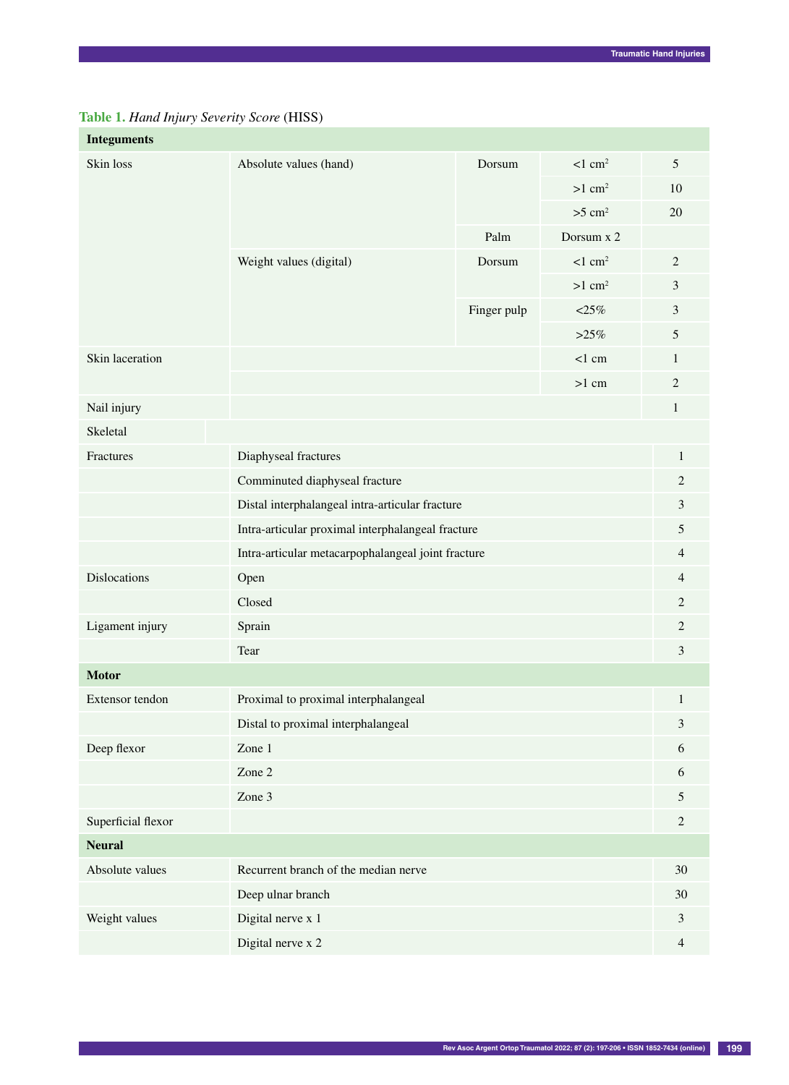|  |  | Table 1. Hand Injury Severity Score (HISS) |  |
|--|--|--------------------------------------------|--|
|  |  |                                            |  |

| <b>Integuments</b>                              |                                                    |             |                       |                             |  |  |
|-------------------------------------------------|----------------------------------------------------|-------------|-----------------------|-----------------------------|--|--|
| Skin loss                                       | Absolute values (hand)                             | Dorsum      | $< 1$ cm <sup>2</sup> | 5                           |  |  |
|                                                 |                                                    |             | $>1$ cm <sup>2</sup>  | 10                          |  |  |
|                                                 |                                                    |             | $>5$ cm <sup>2</sup>  | 20                          |  |  |
|                                                 |                                                    | Palm        | Dorsum x 2            |                             |  |  |
|                                                 | Weight values (digital)                            | Dorsum      | $<$ 1 cm <sup>2</sup> | $\mathbf{2}$                |  |  |
|                                                 |                                                    |             | $>1$ cm <sup>2</sup>  | $\mathfrak{Z}$              |  |  |
|                                                 |                                                    | Finger pulp | $< 25\%$              | $\mathfrak 3$               |  |  |
|                                                 |                                                    |             | $>25\%$               | $\mathfrak{S}$              |  |  |
| Skin laceration                                 |                                                    |             | $<$ 1 cm              | 1                           |  |  |
|                                                 | $>1$ cm                                            |             |                       |                             |  |  |
| Nail injury                                     |                                                    |             |                       | $\mathbf{1}$                |  |  |
| Skeletal                                        |                                                    |             |                       |                             |  |  |
| Diaphyseal fractures<br>Fractures               |                                                    |             |                       | $\mathbf{1}$                |  |  |
|                                                 | Comminuted diaphyseal fracture                     |             |                       |                             |  |  |
| Distal interphalangeal intra-articular fracture |                                                    |             |                       | $\mathfrak{Z}$              |  |  |
|                                                 | Intra-articular proximal interphalangeal fracture  |             |                       |                             |  |  |
|                                                 | Intra-articular metacarpophalangeal joint fracture |             |                       | $\overline{4}$              |  |  |
| Dislocations                                    | Open                                               |             |                       | $\overline{4}$              |  |  |
|                                                 | Closed                                             |             |                       | $\overline{c}$              |  |  |
| Ligament injury                                 | Sprain                                             |             |                       | $\overline{2}$              |  |  |
|                                                 | Tear                                               |             |                       | $\mathfrak{Z}$              |  |  |
| <b>Motor</b>                                    |                                                    |             |                       |                             |  |  |
| Extensor tendon                                 | Proximal to proximal interphalangeal               |             |                       | $\mathbf{1}$                |  |  |
|                                                 | Distal to proximal interphalangeal                 |             |                       | $\ensuremath{\mathfrak{Z}}$ |  |  |
| Deep flexor                                     | Zone $1$                                           |             |                       | 6                           |  |  |
|                                                 | Zone 2                                             |             |                       | 6                           |  |  |
|                                                 | Zone 3                                             |             |                       | $\mathfrak{S}$              |  |  |
| Superficial flexor                              |                                                    |             |                       |                             |  |  |
| <b>Neural</b>                                   |                                                    |             |                       |                             |  |  |
| Absolute values                                 | Recurrent branch of the median nerve               |             |                       | 30                          |  |  |
|                                                 | Deep ulnar branch                                  |             |                       | 30                          |  |  |
| Weight values<br>Digital nerve x 1              |                                                    |             |                       | $\mathfrak{Z}$              |  |  |
|                                                 | Digital nerve x 2                                  |             |                       | $\overline{4}$              |  |  |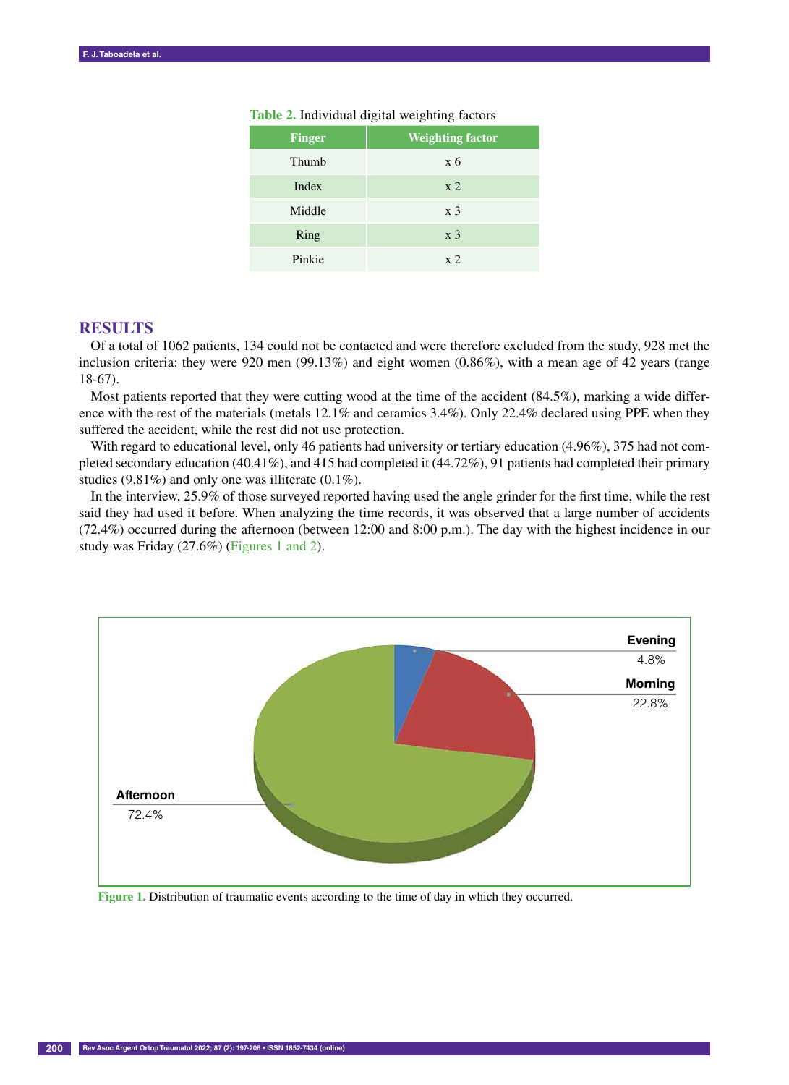| <b>Finger</b> | <b>Weighting factor</b> |
|---------------|-------------------------|
| Thumb         | x <sub>6</sub>          |
| Index         | x <sub>2</sub>          |
| Middle        | x <sub>3</sub>          |
| Ring          | x <sub>3</sub>          |
| Pinkie        | x <sub>2</sub>          |

## **Table 2.** Individual digital weighting factors

## **RESULTS**

Of a total of 1062 patients, 134 could not be contacted and were therefore excluded from the study, 928 met the inclusion criteria: they were 920 men (99.13%) and eight women (0.86%), with a mean age of 42 years (range 18-67).

Most patients reported that they were cutting wood at the time of the accident (84.5%), marking a wide difference with the rest of the materials (metals 12.1% and ceramics 3.4%). Only 22.4% declared using PPE when they suffered the accident, while the rest did not use protection.

With regard to educational level, only 46 patients had university or tertiary education (4.96%), 375 had not completed secondary education (40.41%), and 415 had completed it (44.72%), 91 patients had completed their primary studies (9.81%) and only one was illiterate (0.1%).

In the interview, 25.9% of those surveyed reported having used the angle grinder for the first time, while the rest said they had used it before. When analyzing the time records, it was observed that a large number of accidents (72.4%) occurred during the afternoon (between 12:00 and 8:00 p.m.). The day with the highest incidence in our study was Friday (27.6%) (Figures 1 and 2).



**Figure 1.** Distribution of traumatic events according to the time of day in which they occurred.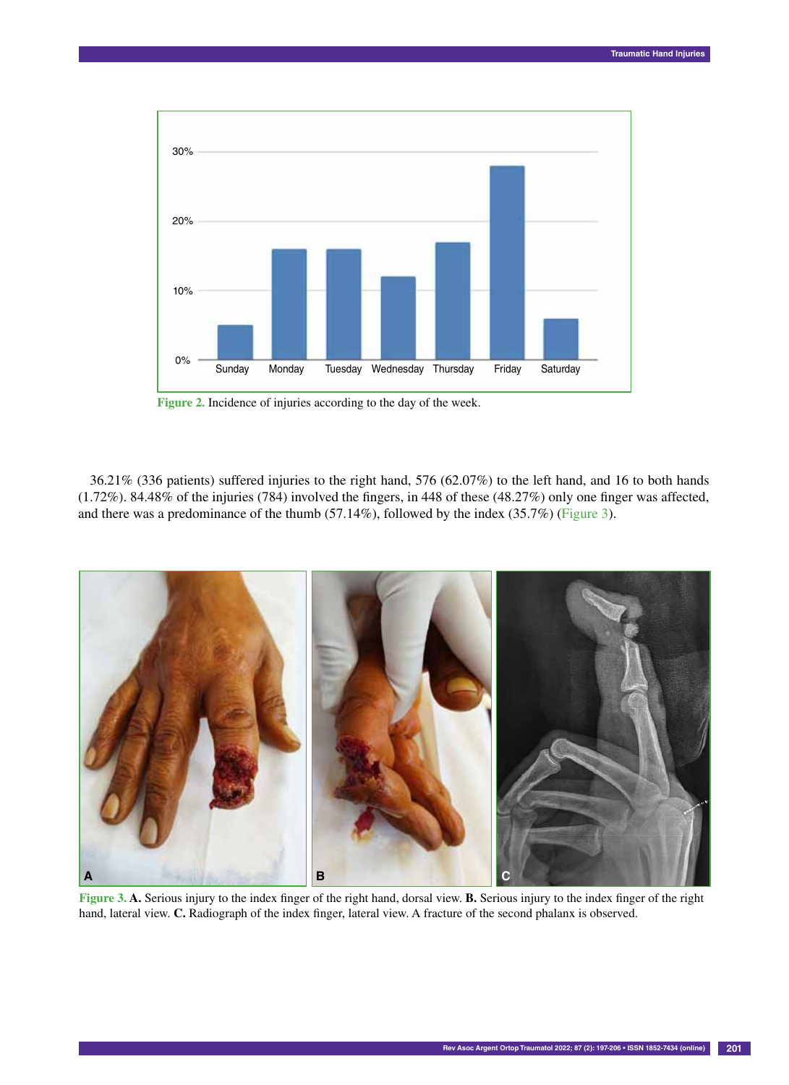

**Figure 2.** Incidence of injuries according to the day of the week.

36.21% (336 patients) suffered injuries to the right hand, 576 (62.07%) to the left hand, and 16 to both hands (1.72%). 84.48% of the injuries (784) involved the fingers, in 448 of these (48.27%) only one finger was affected, and there was a predominance of the thumb (57.14%), followed by the index (35.7%) (Figure 3).



**Figure 3. A.** Serious injury to the index finger of the right hand, dorsal view. **B.** Serious injury to the index finger of the right hand, lateral view. **C.** Radiograph of the index finger, lateral view. A fracture of the second phalanx is observed.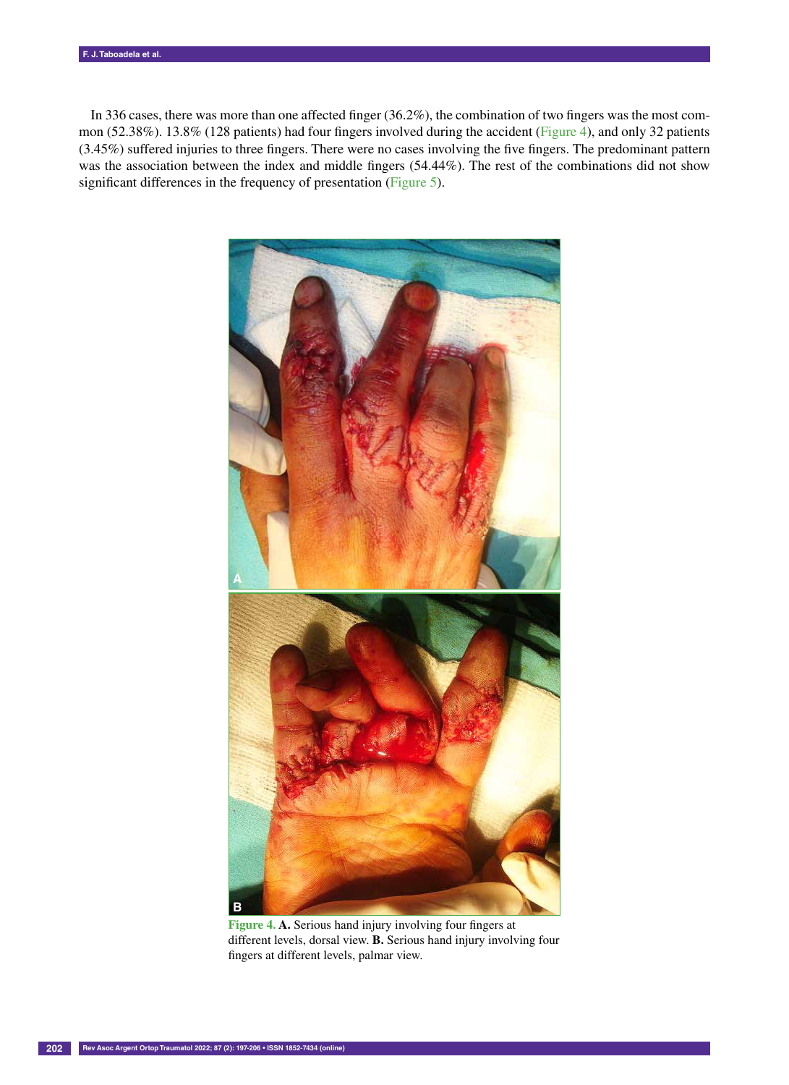In 336 cases, there was more than one affected finger (36.2%), the combination of two fingers was the most common (52.38%). 13.8% (128 patients) had four fingers involved during the accident (Figure 4), and only 32 patients (3.45%) suffered injuries to three fingers. There were no cases involving the five fingers. The predominant pattern was the association between the index and middle fingers (54.44%). The rest of the combinations did not show significant differences in the frequency of presentation (Figure 5).



**Figure 4. A.** Serious hand injury involving four fingers at different levels, dorsal view. **B.** Serious hand injury involving four fingers at different levels, palmar view.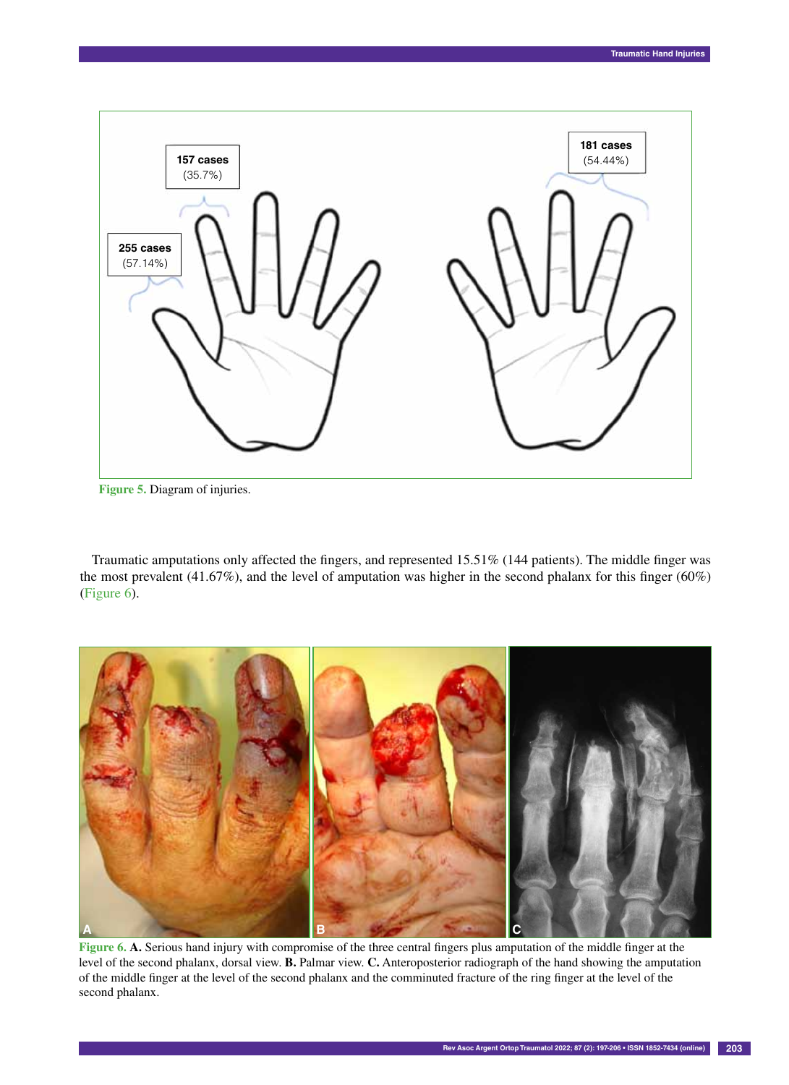



Traumatic amputations only affected the fingers, and represented 15.51% (144 patients). The middle finger was the most prevalent (41.67%), and the level of amputation was higher in the second phalanx for this finger (60%) (Figure 6).



**Figure 6. A.** Serious hand injury with compromise of the three central fingers plus amputation of the middle finger at the level of the second phalanx, dorsal view. **B.** Palmar view. **C.** Anteroposterior radiograph of the hand showing the amputation of the middle finger at the level of the second phalanx and the comminuted fracture of the ring finger at the level of the second phalanx.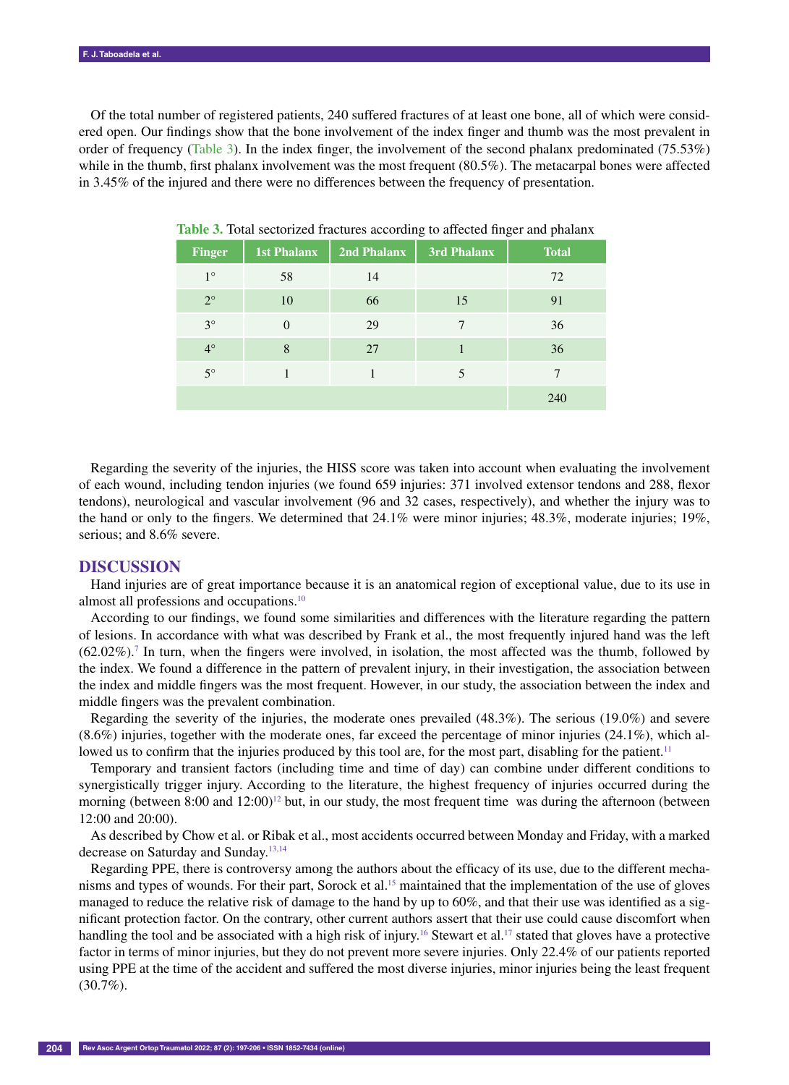Of the total number of registered patients, 240 suffered fractures of at least one bone, all of which were considered open. Our findings show that the bone involvement of the index finger and thumb was the most prevalent in order of frequency (Table 3). In the index finger, the involvement of the second phalanx predominated (75.53%) while in the thumb, first phalanx involvement was the most frequent (80.5%). The metacarpal bones were affected in 3.45% of the injured and there were no differences between the frequency of presentation.

| <b>Finger</b> | <b>1st Phalanx</b> | 2nd Phalanx | 3rd Phalanx | <b>Total</b> |
|---------------|--------------------|-------------|-------------|--------------|
| $1^{\circ}$   | 58                 | 14          |             | 72           |
| $2^{\circ}$   | 10                 | 66          | 15          | 91           |
| $3^\circ$     | $\Omega$           | 29          | 7           | 36           |
| $4^\circ$     | 8                  | 27          |             | 36           |
| $5^\circ$     |                    |             | 5           | 7            |
|               |                    |             |             | 240          |

**Table 3.** Total sectorized fractures according to affected finger and phalanx

Regarding the severity of the injuries, the HISS score was taken into account when evaluating the involvement of each wound, including tendon injuries (we found 659 injuries: 371 involved extensor tendons and 288, flexor tendons), neurological and vascular involvement (96 and 32 cases, respectively), and whether the injury was to the hand or only to the fingers. We determined that 24.1% were minor injuries; 48.3%, moderate injuries; 19%, serious; and 8.6% severe.

## **DISCUSSION**

Hand injuries are of great importance because it is an anatomical region of exceptional value, due to its use in almost all professions and occupations.10

According to our findings, we found some similarities and differences with the literature regarding the pattern of lesions. In accordance with what was described by Frank et al., the most frequently injured hand was the left (62.02%).7 In turn, when the fingers were involved, in isolation, the most affected was the thumb, followed by the index. We found a difference in the pattern of prevalent injury, in their investigation, the association between the index and middle fingers was the most frequent. However, in our study, the association between the index and middle fingers was the prevalent combination.

Regarding the severity of the injuries, the moderate ones prevailed (48.3%). The serious (19.0%) and severe (8.6%) injuries, together with the moderate ones, far exceed the percentage of minor injuries (24.1%), which allowed us to confirm that the injuries produced by this tool are, for the most part, disabling for the patient.<sup>11</sup>

Temporary and transient factors (including time and time of day) can combine under different conditions to synergistically trigger injury. According to the literature, the highest frequency of injuries occurred during the morning (between 8:00 and  $12:00$ )<sup>12</sup> but, in our study, the most frequent time was during the afternoon (between 12:00 and 20:00).

As described by Chow et al. or Ribak et al., most accidents occurred between Monday and Friday, with a marked decrease on Saturday and Sunday.13,14

Regarding PPE, there is controversy among the authors about the efficacy of its use, due to the different mechanisms and types of wounds. For their part, Sorock et al.<sup>15</sup> maintained that the implementation of the use of gloves managed to reduce the relative risk of damage to the hand by up to 60%, and that their use was identified as a significant protection factor. On the contrary, other current authors assert that their use could cause discomfort when handling the tool and be associated with a high risk of injury.<sup>16</sup> Stewart et al.<sup>17</sup> stated that gloves have a protective factor in terms of minor injuries, but they do not prevent more severe injuries. Only 22.4% of our patients reported using PPE at the time of the accident and suffered the most diverse injuries, minor injuries being the least frequent  $(30.7\%)$ .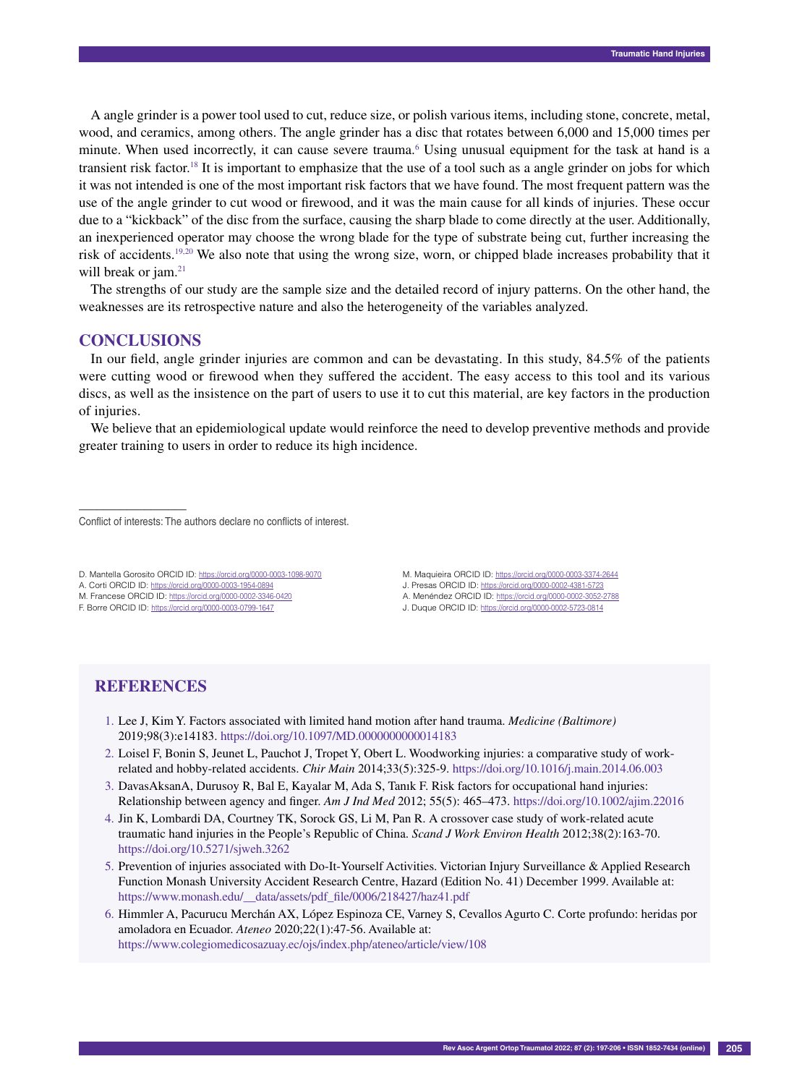A angle grinder is a power tool used to cut, reduce size, or polish various items, including stone, concrete, metal, wood, and ceramics, among others. The angle grinder has a disc that rotates between 6,000 and 15,000 times per minute. When used incorrectly, it can cause severe trauma.<sup>6</sup> Using unusual equipment for the task at hand is a transient risk factor.18 It is important to emphasize that the use of a tool such as a angle grinder on jobs for which it was not intended is one of the most important risk factors that we have found. The most frequent pattern was the use of the angle grinder to cut wood or firewood, and it was the main cause for all kinds of injuries. These occur due to a "kickback" of the disc from the surface, causing the sharp blade to come directly at the user. Additionally, an inexperienced operator may choose the wrong blade for the type of substrate being cut, further increasing the risk of accidents.19,20 We also note that using the wrong size, worn, or chipped blade increases probability that it will break or jam.<sup>21</sup>

The strengths of our study are the sample size and the detailed record of injury patterns. On the other hand, the weaknesses are its retrospective nature and also the heterogeneity of the variables analyzed.

## **CONCLUSIONS**

––––––––––––––––––

In our field, angle grinder injuries are common and can be devastating. In this study, 84.5% of the patients were cutting wood or firewood when they suffered the accident. The easy access to this tool and its various discs, as well as the insistence on the part of users to use it to cut this material, are key factors in the production of injuries.

We believe that an epidemiological update would reinforce the need to develop preventive methods and provide greater training to users in order to reduce its high incidence.

#### Conflict of interests: The authors declare no conflicts of interest.

D. Mantella Gorosito ORCID ID: https://orcid.org/0000-0003-1098-9070

- A. Corti ORCID ID: https://orcid.org/0000-0003-1954-0894
- M. Francese ORCID ID: https://orcid.org/0000-0002-3346-0420

F. Borre ORCID ID: https://orcid.org/0000-0003-0799-1647

- M. Maquieira ORCID ID: https://orcid.org/0000-0003-3374-2644
- J. Presas ORCID ID: https://orcid.org/0000-0002-4381-5723
- A. Menéndez ORCID ID: https://orcid.org/0000-0002-3052-2788
- J. Duque ORCID ID: https://orcid.org/0000-0002-5723-0814

# **REFERENCES**

- 1. Lee J, Kim Y. Factors associated with limited hand motion after hand trauma. *Medicine (Baltimore)* 2019;98(3):e14183. https://doi.org/10.1097/MD.0000000000014183
- 2. Loisel F, Bonin S, Jeunet L, Pauchot J, Tropet Y, Obert L. Woodworking injuries: a comparative study of workrelated and hobby-related accidents. *Chir Main* 2014;33(5):325-9. https://doi.org/10.1016/j.main.2014.06.003
- 3. DavasAksanA, Durusoy R, Bal E, Kayalar M, Ada S, Tanık F. Risk factors for occupational hand injuries: Relationship between agency and finger. *Am J Ind Med* 2012; 55(5): 465–473. https://doi.org/10.1002/ajim.22016
- 4. Jin K, Lombardi DA, Courtney TK, Sorock GS, Li M, Pan R. A crossover case study of work-related acute traumatic hand injuries in the People's Republic of China. *Scand J Work Environ Health* 2012;38(2):163-70. https://doi.org/10.5271/sjweh.3262
- 5. Prevention of injuries associated with Do-It-Yourself Activities. Victorian Injury Surveillance & Applied Research Function Monash University Accident Research Centre, Hazard (Edition No. 41) December 1999. Available at: https://www.monash.edu/\_\_data/assets/pdf\_file/0006/218427/haz41.pdf
- 6. Himmler A, Pacurucu Merchán AX, López Espinoza CE, Varney S, Cevallos Agurto C. Corte profundo: heridas por amoladora en Ecuador. *Ateneo* 2020;22(1):47-56. Available at: https://www.colegiomedicosazuay.ec/ojs/index.php/ateneo/article/view/108